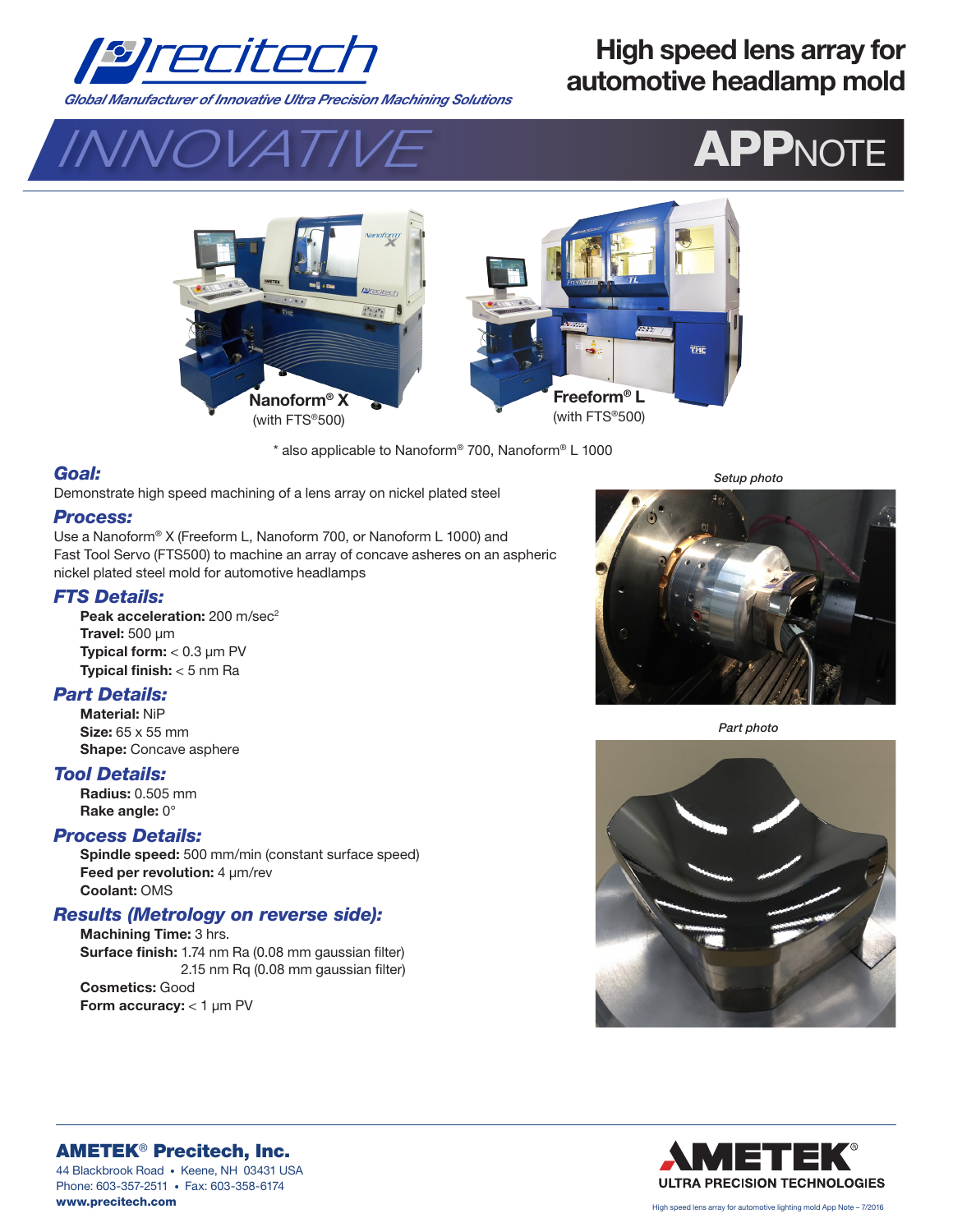

# **High speed lens array for automotive headlamp mold**

*Global Manufacturer of Innovative Ultra Precision Machining Solutions* 





\* also applicable to Nanoform® 700, Nanoform® L 1000

## *Goal:*

Demonstrate high speed machining of a lens array on nickel plated steel

#### *Process:*

Use a Nanoform® X (Freeform L, Nanoform 700, or Nanoform L 1000) and Fast Tool Servo (FTS500) to machine an array of concave asheres on an aspheric nickel plated steel mold for automotive headlamps

#### *FTS Details:*

Peak acceleration: 200 m/sec<sup>2</sup> **Travel:** 500 µm **Typical form:** < 0.3 µm PV **Typical finish:** < 5 nm Ra

# *Part Details:*

**Material:** NiP **Size:** 65 x 55 mm **Shape:** Concave asphere

#### *Tool Details:*

**Radius:** 0.505 mm **Rake angle:** 0°

## *Process Details:*

**Spindle speed:** 500 mm/min (constant surface speed) Feed per revolution: 4 µm/rev **Coolant:** OMS

## *Results (Metrology on reverse side):*

**Machining Time:** 3 hrs. **Surface finish:** 1.74 nm Ra (0.08 mm gaussian filter) **Surface finish:** 2.15 nm Rq (0.08 mm gaussian filter) **Cosmetics:** Good **Form accuracy:** < 1 µm PV

*Setup photo*



*Part photo*





AMETEK® Precitech, Inc. 44 Blackbrook Road • Keene, NH 03431 USA Phone: 603-357-2511 • Fax: 603-358-6174 www.precitech.com